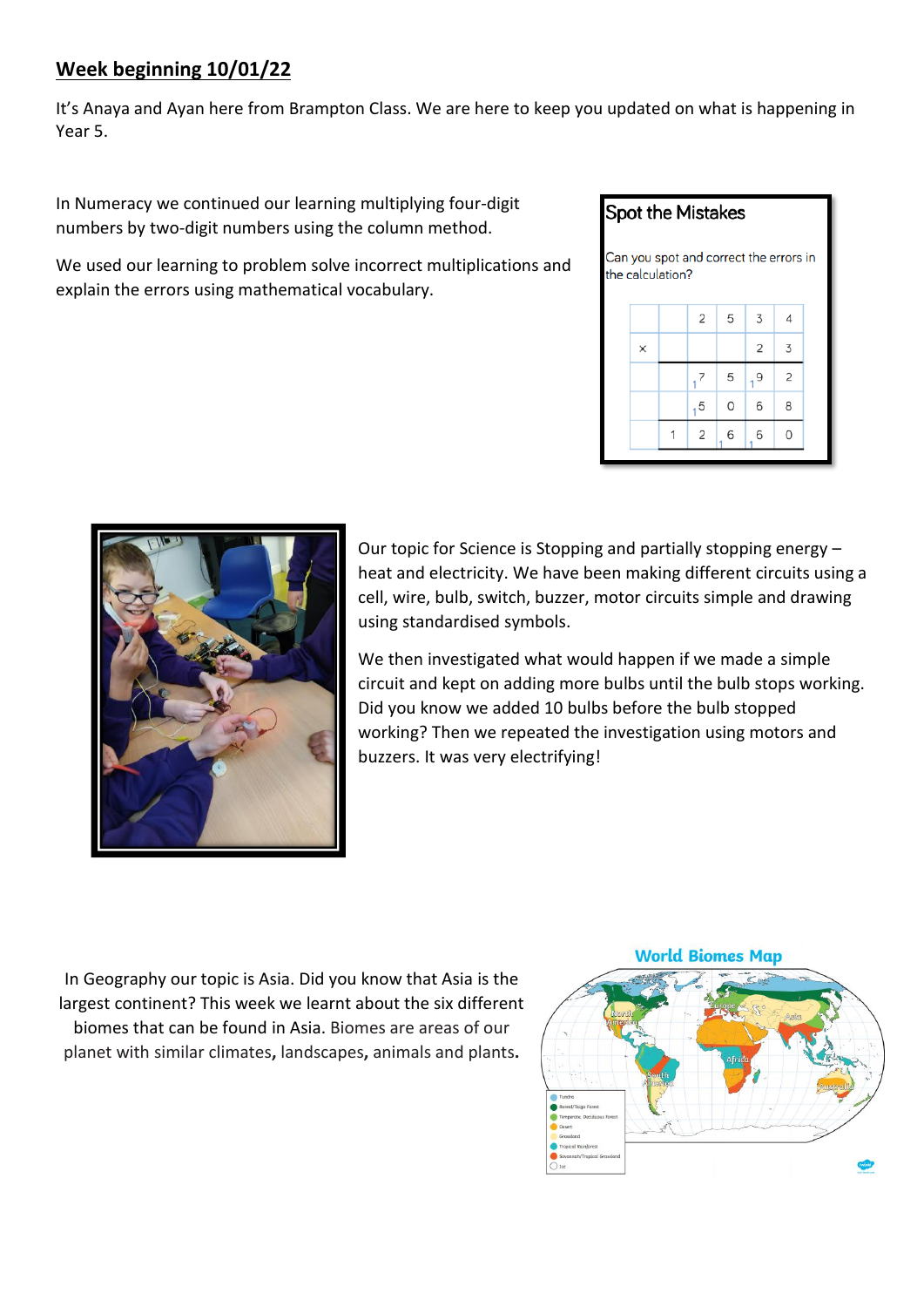## **Week beginning 10/01/22**

It's Anaya and Ayan here from Brampton Class. We are here to keep you updated on what is happening in Year 5.

In Numeracy we continued our learning multiplying four-digit numbers by two-digit numbers using the column method.

We used our learning to problem solve incorrect multiplications and explain the errors using mathematical vocabulary.

## **Spot the Mistakes**





Our topic for Science is Stopping and partially stopping energy – heat and electricity. We have been making different circuits using a cell, wire, bulb, switch, buzzer, motor circuits simple and drawing using standardised symbols.

We then investigated what would happen if we made a simple circuit and kept on adding more bulbs until the bulb stops working. Did you know we added 10 bulbs before the bulb stopped working? Then we repeated the investigation using motors and buzzers. It was very electrifying!

In Geography our topic is Asia. Did you know that Asia is the largest continent? This week we learnt about the six different biomes that can be found in Asia. Biomes are areas of our planet with similar climates**,** landscapes**,** animals and plants**.**

## **World Biomes Map**